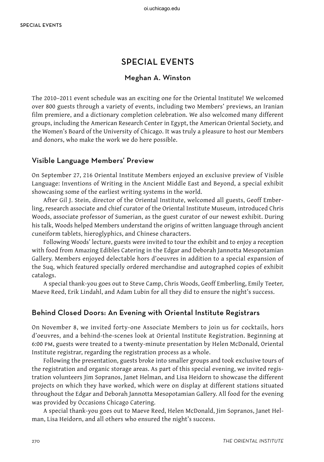# special events

### Meghan A. Winston

The 2010–2011 event schedule was an exciting one for the Oriental Institute! We welcomed over 800 guests through a variety of events, including two Members' previews, an Iranian film premiere, and a dictionary completion celebration. We also welcomed many different groups, including the American Research Center in Egypt, the American Oriental Society, and the Women's Board of the University of Chicago. It was truly a pleasure to host our Members and donors, who make the work we do here possible.

#### Visible Language Members' Preview

On September 27, 216 Oriental Institute Members enjoyed an exclusive preview of Visible Language: Inventions of Writing in the Ancient Middle East and Beyond, a special exhibit showcasing some of the earliest writing systems in the world.

After Gil J. Stein, director of the Oriental Institute, welcomed all guests, Geoff Emberling, research associate and chief curator of the Oriental Institute Museum, introduced Chris Woods, associate professor of Sumerian, as the guest curator of our newest exhibit. During his talk, Woods helped Members understand the origins of written language through ancient cuneiform tablets, hieroglyphics, and Chinese characters.

Following Woods' lecture, guests were invited to tour the exhibit and to enjoy a reception with food from Amazing Edibles Catering in the Edgar and Deborah Jannotta Mesopotamian Gallery. Members enjoyed delectable hors d'oeuvres in addition to a special expansion of the Suq, which featured specially ordered merchandise and autographed copies of exhibit catalogs.

A special thank-you goes out to Steve Camp, Chris Woods, Geoff Emberling, Emily Teeter, Maeve Reed, Erik Lindahl, and Adam Lubin for all they did to ensure the night's success.

#### Behind Closed Doors: An Evening with Oriental Institute Registrars

On November 8, we invited forty-one Associate Members to join us for cocktails, hors d'oeuvres, and a behind-the-scenes look at Oriental Institute Registration. Beginning at 6:00 pm, guests were treated to a twenty-minute presentation by Helen McDonald, Oriental Institute registrar, regarding the registration process as a whole.

Following the presentation, guests broke into smaller groups and took exclusive tours of the registration and organic storage areas. As part of this special evening, we invited registration volunteers Jim Sopranos, Janet Helman, and Lisa Heidorn to showcase the different projects on which they have worked, which were on display at different stations situated throughout the Edgar and Deborah Jannotta Mesopotamian Gallery. All food for the evening was provided by Occasions Chicago Catering.

A special thank-you goes out to Maeve Reed, Helen McDonald, Jim Sopranos, Janet Helman, Lisa Heidorn, and all others who ensured the night's success.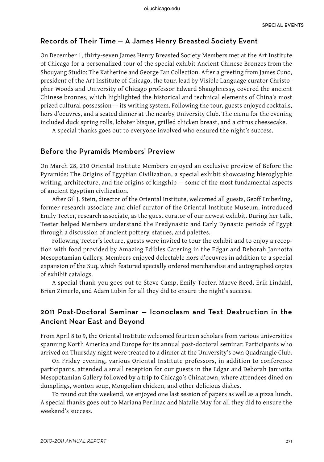#### Records of Their Time — A James Henry Breasted Society Event

On December 1, thirty-seven James Henry Breasted Society Members met at the Art Institute of Chicago for a personalized tour of the special exhibit Ancient Chinese Bronzes from the Shouyang Studio: The Katherine and George Fan Collection. After a greeting from James Cuno, president of the Art Institute of Chicago, the tour, lead by Visible Language curator Christopher Woods and University of Chicago professor Edward Shaughnessy, covered the ancient Chinese bronzes, which highlighted the historical and technical elements of China's most prized cultural possession — its writing system. Following the tour, guests enjoyed cocktails, hors d'oeuvres, and a seated dinner at the nearby University Club. The menu for the evening included duck spring rolls, lobster bisque, grilled chicken breast, and a citrus cheesecake.

A special thanks goes out to everyone involved who ensured the night's success.

#### Before the Pyramids Members' Preview

On March 28, 210 Oriental Institute Members enjoyed an exclusive preview of Before the Pyramids: The Origins of Egyptian Civilization, a special exhibit showcasing hieroglyphic writing, architecture, and the origins of kingship — some of the most fundamental aspects of ancient Egyptian civilization.

After Gil J. Stein, director of the Oriental Institute, welcomed all guests, Geoff Emberling, former research associate and chief curator of the Oriental Institute Museum, introduced Emily Teeter, research associate, as the guest curator of our newest exhibit. During her talk, Teeter helped Members understand the Predynastic and Early Dynastic periods of Egypt through a discussion of ancient pottery, statues, and palettes.

Following Teeter's lecture, guests were invited to tour the exhibit and to enjoy a reception with food provided by Amazing Edibles Catering in the Edgar and Deborah Jannotta Mesopotamian Gallery. Members enjoyed delectable hors d'oeuvres in addition to a special expansion of the Suq, which featured specially ordered merchandise and autographed copies of exhibit catalogs.

A special thank-you goes out to Steve Camp, Emily Teeter, Maeve Reed, Erik Lindahl, Brian Zimerle, and Adam Lubin for all they did to ensure the night's success.

## 2011 Post-Doctoral Seminar — Iconoclasm and Text Destruction in the Ancient Near East and Beyond

From April 8 to 9, the Oriental Institute welcomed fourteen scholars from various universities spanning North America and Europe for its annual post-doctoral seminar. Participants who arrived on Thursday night were treated to a dinner at the University's own Quadrangle Club.

On Friday evening, various Oriental Institute professors, in addition to conference participants, attended a small reception for our guests in the Edgar and Deborah Jannotta Mesopotamian Gallery followed by a trip to Chicago's Chinatown, where attendees dined on dumplings, wonton soup, Mongolian chicken, and other delicious dishes.

To round out the weekend, we enjoyed one last session of papers as well as a pizza lunch. A special thanks goes out to Mariana Perlinac and Natalie May for all they did to ensure the weekend's success.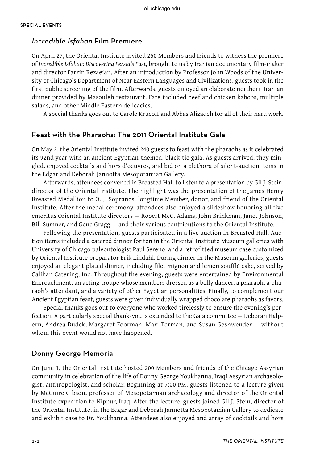#### Incredible Isfahan Film Premiere

On April 27, the Oriental Institute invited 250 Members and friends to witness the premiere of *Incredible Isfahan: Discovering Persia's Past*, brought to us by Iranian documentary film-maker and director Farzin Rezaeian. After an introduction by Professor John Woods of the University of Chicago's Department of Near Eastern Languages and Civilizations, guests took in the first public screening of the film. Afterwards, guests enjoyed an elaborate northern Iranian dinner provided by Masouleh restaurant. Fare included beef and chicken kabobs, multiple salads, and other Middle Eastern delicacies.

A special thanks goes out to Carole Krucoff and Abbas Alizadeh for all of their hard work.

## Feast with the Pharaohs: The 2011 Oriental Institute Gala

On May 2, the Oriental Institute invited 240 guests to feast with the pharaohs as it celebrated its 92nd year with an ancient Egyptian-themed, black-tie gala. As guests arrived, they mingled, enjoyed cocktails and hors d'oeuvres, and bid on a plethora of silent-auction items in the Edgar and Deborah Jannotta Mesopotamian Gallery.

Afterwards, attendees convened in Breasted Hall to listen to a presentation by Gil J. Stein, director of the Oriental Institute. The highlight was the presentation of the James Henry Breasted Medallion to O. J. Sopranos, longtime Member, donor, and friend of the Oriental Institute. After the medal ceremony, attendees also enjoyed a slideshow honoring all five emeritus Oriental Institute directors — Robert McC. Adams, John Brinkman, Janet Johnson, Bill Sumner, and Gene Gragg — and their various contributions to the Oriental Institute.

Following the presentation, guests participated in a live auction in Breasted Hall. Auction items included a catered dinner for ten in the Oriental Institute Museum galleries with University of Chicago paleontologist Paul Sereno, and a retrofitted museum case customized by Oriental Institute preparator Erik Lindahl. During dinner in the Museum galleries, guests enjoyed an elegant plated dinner, including filet mignon and lemon soufflé cake, served by Calihan Catering, Inc. Throughout the evening, guests were entertained by Environmental Encroachment, an acting troupe whose members dressed as a belly dancer, a pharaoh, a pharaoh's attendant, and a variety of other Egyptian personalities. Finally, to complement our Ancient Egyptian feast, guests were given individually wrapped chocolate pharaohs as favors.

Special thanks goes out to everyone who worked tirelessly to ensure the evening's perfection. A particularly special thank-you is extended to the Gala committee — Deborah Halpern, Andrea Dudek, Margaret Foorman, Mari Terman, and Susan Geshwender — without whom this event would not have happened.

#### Donny George Memorial

On June 1, the Oriental Institute hosted 200 Members and friends of the Chicago Assyrian community in celebration of the life of Donny George Youkhanna, Iraqi Assyrian archaeologist, anthropologist, and scholar. Beginning at 7:00 pm, guests listened to a lecture given by McGuire Gibson, professor of Mesopotamian archaeology and director of the Oriental Institute expedition to Nippur, Iraq. After the lecture, guests joined Gil J. Stein, director of the Oriental Institute, in the Edgar and Deborah Jannotta Mesopotamian Gallery to dedicate and exhibit case to Dr. Youkhanna. Attendees also enjoyed and array of cocktails and hors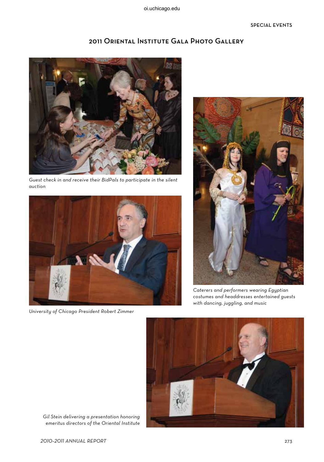2011 Oriental Institute Gala Photo Gallery

Guest check in and receive their BidPals to participate in the silent auction



University of Chicago President Robert Zimmer



Caterers and performers wearing Egyptian costumes and headdresses entertained guests with dancing, juggling, and music



Gil Stein delivering a presentation honoring emeritus directors of the Oriental Institute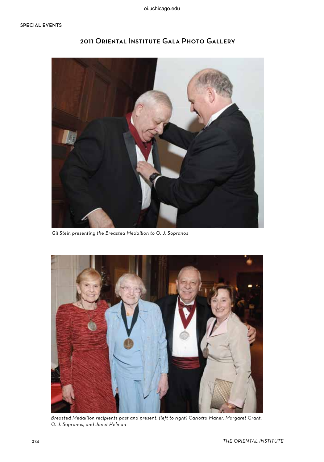

## 2011 Oriental Institute Gala Photo Gallery

Gil Stein presenting the Breasted Medallion to O. J. Sopranos



Breasted Medallion recipients past and present: (left to right) Carlotta Maher, Margaret Grant, O. J. Sopranos, and Janet Helman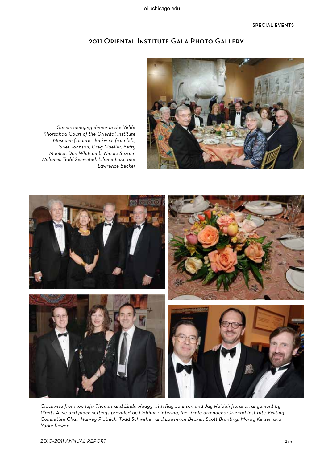

2011 Oriental Institute Gala Photo Gallery

Guests enjoying dinner in the Yelda Khorsabad Court of the Oriental Institute Museum: (counterclockwise from left) Janet Johnson, Greg Mueller, Betty Mueller, Don Whitcomb, Nicole Suzann Williams, Todd Schwebel, Liliana Lark, and Lawrence Becker



Clockwise from top left: Thomas and Linda Heagy with Ray Johnson and Jay Heidel; floral arrangement by Plants Alive and place settings provided by Calihan Catering, Inc.; Gala attendees Oriental Institute Visiting Committee Chair Harvey Plotnick, Todd Schwebel, and Lawrence Becker; Scott Branting, Morag Kersel, and Yorke Rowan